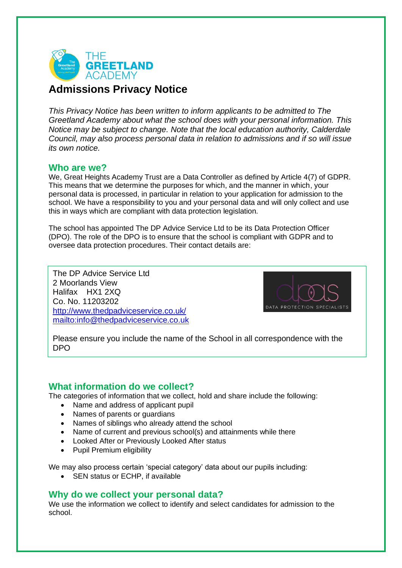

# **Admissions Privacy Notice**

*This Privacy Notice has been written to inform applicants to be admitted to The Greetland Academy about what the school does with your personal information. This Notice may be subject to change. Note that the local education authority, Calderdale Council, may also process personal data in relation to admissions and if so will issue its own notice.*

#### **Who are we?**

We, Great Heights Academy Trust are a Data Controller as defined by Article 4(7) of GDPR. This means that we determine the purposes for which, and the manner in which, your personal data is processed, in particular in relation to your application for admission to the school. We have a responsibility to you and your personal data and will only collect and use this in ways which are compliant with data protection legislation.

The school has appointed The DP Advice Service Ltd to be its Data Protection Officer (DPO). The role of the DPO is to ensure that the school is compliant with GDPR and to oversee data protection procedures. Their contact details are:

The DP Advice Service Ltd. 2 Moorlands View Halifax HX1 2XQ Co. No. 11203202 <http://www.thedpadviceservice.co.uk/> <mailto:info@thedpadviceservice.co.uk>



Please ensure you include the name of the School in all correspondence with the DPO

## **What information do we collect?**

The categories of information that we collect, hold and share include the following:

- Name and address of applicant pupil
- Names of parents or guardians
- Names of siblings who already attend the school
- Name of current and previous school(s) and attainments while there
- Looked After or Previously Looked After status
- Pupil Premium eligibility

We may also process certain 'special category' data about our pupils including:

• SEN status or ECHP, if available

## **Why do we collect your personal data?**

We use the information we collect to identify and select candidates for admission to the school.